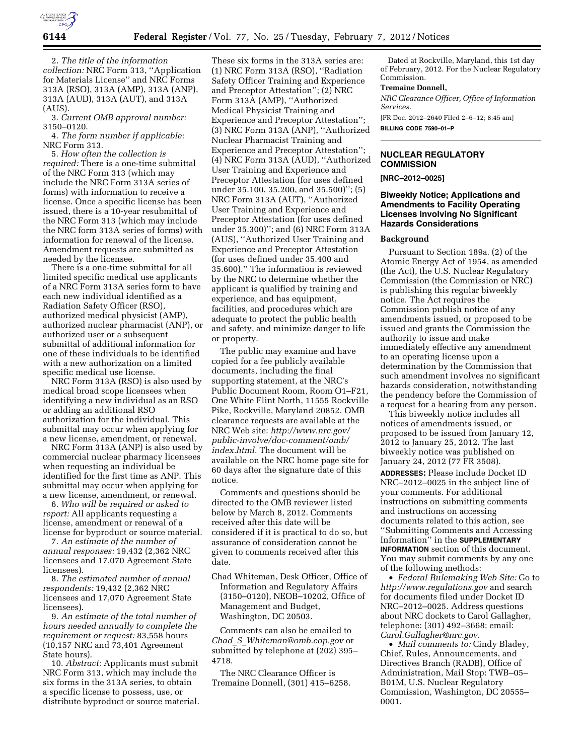

2. *The title of the information collection:* NRC Form 313, ''Application for Materials License'' and NRC Forms 313A (RSO), 313A (AMP), 313A (ANP), 313A (AUD), 313A (AUT), and 313A (AUS).

3. *Current OMB approval number:*  3150–0120.

4. *The form number if applicable:*  NRC Form 313.

5. *How often the collection is required:* There is a one-time submittal of the NRC Form 313 (which may include the NRC Form 313A series of forms) with information to receive a license. Once a specific license has been issued, there is a 10-year resubmittal of the NRC Form 313 (which may include the NRC form 313A series of forms) with information for renewal of the license. Amendment requests are submitted as needed by the licensee.

There is a one-time submittal for all limited specific medical use applicants of a NRC Form 313A series form to have each new individual identified as a Radiation Safety Officer (RSO), authorized medical physicist (AMP), authorized nuclear pharmacist (ANP), or authorized user or a subsequent submittal of additional information for one of these individuals to be identified with a new authorization on a limited specific medical use license.

NRC Form 313A (RSO) is also used by medical broad scope licensees when identifying a new individual as an RSO or adding an additional RSO authorization for the individual. This submittal may occur when applying for a new license, amendment, or renewal.

NRC Form 313A (ANP) is also used by commercial nuclear pharmacy licensees when requesting an individual be identified for the first time as ANP. This submittal may occur when applying for a new license, amendment, or renewal.

6. *Who will be required or asked to report:* All applicants requesting a license, amendment or renewal of a license for byproduct or source material.

7. *An estimate of the number of annual responses:* 19,432 (2,362 NRC licensees and 17,070 Agreement State licensees).

8. *The estimated number of annual respondents:* 19,432 (2,362 NRC licensees and 17,070 Agreement State licensees).

9. *An estimate of the total number of hours needed annually to complete the requirement or request:* 83,558 hours (10,157 NRC and 73,401 Agreement State hours).

10. *Abstract:* Applicants must submit NRC Form 313, which may include the six forms in the 313A series, to obtain a specific license to possess, use, or distribute byproduct or source material.

These six forms in the 313A series are: (1) NRC Form 313A (RSO), ''Radiation Safety Officer Training and Experience and Preceptor Attestation''; (2) NRC Form 313A (AMP), ''Authorized Medical Physicist Training and Experience and Preceptor Attestation''; (3) NRC Form 313A (ANP), ''Authorized Nuclear Pharmacist Training and Experience and Preceptor Attestation''; (4) NRC Form 313A (AUD), ''Authorized User Training and Experience and Preceptor Attestation (for uses defined under 35.100, 35.200, and 35.500)''; (5) NRC Form 313A (AUT), ''Authorized User Training and Experience and Preceptor Attestation (for uses defined under 35.300)''; and (6) NRC Form 313A (AUS), ''Authorized User Training and Experience and Preceptor Attestation (for uses defined under 35.400 and 35.600).'' The information is reviewed by the NRC to determine whether the applicant is qualified by training and experience, and has equipment, facilities, and procedures which are adequate to protect the public health and safety, and minimize danger to life or property.

The public may examine and have copied for a fee publicly available documents, including the final supporting statement, at the NRC's Public Document Room, Room O1–F21, One White Flint North, 11555 Rockville Pike, Rockville, Maryland 20852. OMB clearance requests are available at the NRC Web site: *[http://www.nrc.gov/](http://www.nrc.gov/public-involve/doc-comment/omb/index.html)  [public-involve/doc-comment/omb/](http://www.nrc.gov/public-involve/doc-comment/omb/index.html) [index.html.](http://www.nrc.gov/public-involve/doc-comment/omb/index.html)* The document will be available on the NRC home page site for 60 days after the signature date of this notice.

Comments and questions should be directed to the OMB reviewer listed below by March 8, 2012. Comments received after this date will be considered if it is practical to do so, but assurance of consideration cannot be given to comments received after this date.

Chad Whiteman, Desk Officer, Office of Information and Regulatory Affairs (3150–0120), NEOB–10202, Office of Management and Budget, Washington, DC 20503.

Comments can also be emailed to *Chad*\_*S*\_*[Whiteman@omb.eop.gov](mailto:Chad_S_Whiteman@omb.eop.gov)* or submitted by telephone at (202) 395– 4718.

The NRC Clearance Officer is Tremaine Donnell, (301) 415–6258.

Dated at Rockville, Maryland, this 1st day of February, 2012. For the Nuclear Regulatory Commission.

#### **Tremaine Donnell,**

*NRC Clearance Officer, Office of Information Services.* 

[FR Doc. 2012–2640 Filed 2–6–12; 8:45 am] **BILLING CODE 7590–01–P** 

**NUCLEAR REGULATORY COMMISSION** 

**[NRC–2012–0025]** 

## **Biweekly Notice; Applications and Amendments to Facility Operating Licenses Involving No Significant Hazards Considerations**

#### **Background**

Pursuant to Section 189a. (2) of the Atomic Energy Act of 1954, as amended (the Act), the U.S. Nuclear Regulatory Commission (the Commission or NRC) is publishing this regular biweekly notice. The Act requires the Commission publish notice of any amendments issued, or proposed to be issued and grants the Commission the authority to issue and make immediately effective any amendment to an operating license upon a determination by the Commission that such amendment involves no significant hazards consideration, notwithstanding the pendency before the Commission of a request for a hearing from any person.

This biweekly notice includes all notices of amendments issued, or proposed to be issued from January 12, 2012 to January 25, 2012. The last biweekly notice was published on January 24, 2012 (77 FR 3508). **ADDRESSES:** Please include Docket ID NRC–2012–0025 in the subject line of your comments. For additional instructions on submitting comments and instructions on accessing documents related to this action, see ''Submitting Comments and Accessing Information'' in the **SUPPLEMENTARY INFORMATION** section of this document. You may submit comments by any one of the following methods:

• *Federal Rulemaking Web Site:* Go to *<http://www.regulations.gov>* and search for documents filed under Docket ID NRC–2012–0025. Address questions about NRC dockets to Carol Gallagher, telephone: (301) 492–3668; email: *[Carol.Gallagher@nrc.gov.](mailto:Carol.Gallagher@nrc.gov)* 

• *Mail comments to:* Cindy Bladey, Chief, Rules, Announcements, and Directives Branch (RADB), Office of Administration, Mail Stop: TWB–05– B01M, U.S. Nuclear Regulatory Commission, Washington, DC 20555– 0001.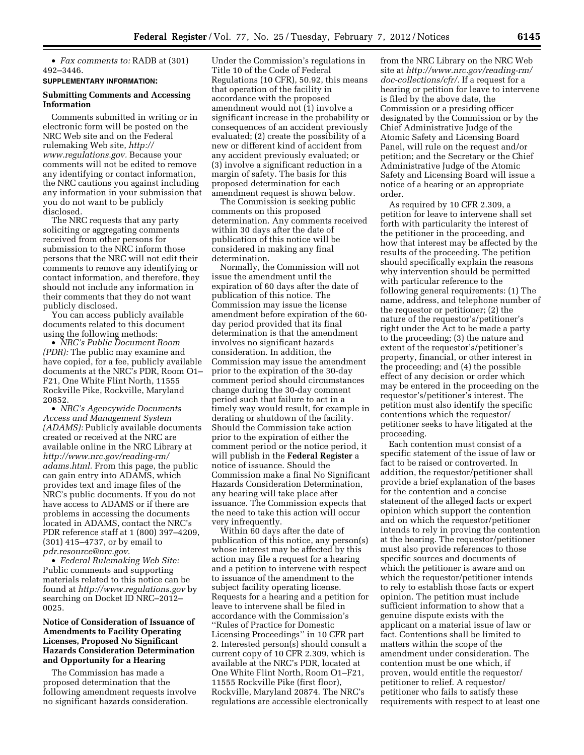• *Fax comments to:* RADB at (301) 492–3446.

**SUPPLEMENTARY INFORMATION:** 

## **Submitting Comments and Accessing Information**

Comments submitted in writing or in electronic form will be posted on the NRC Web site and on the Federal rulemaking Web site, *[http://](http://www.regulations.gov) [www.regulations.gov.](http://www.regulations.gov)* Because your comments will not be edited to remove any identifying or contact information, the NRC cautions you against including any information in your submission that you do not want to be publicly disclosed.

The NRC requests that any party soliciting or aggregating comments received from other persons for submission to the NRC inform those persons that the NRC will not edit their comments to remove any identifying or contact information, and therefore, they should not include any information in their comments that they do not want publicly disclosed.

You can access publicly available documents related to this document using the following methods:

• *NRC's Public Document Room (PDR):* The public may examine and have copied, for a fee, publicly available documents at the NRC's PDR, Room O1– F21, One White Flint North, 11555 Rockville Pike, Rockville, Maryland 20852.

• *NRC's Agencywide Documents Access and Management System (ADAMS):* Publicly available documents created or received at the NRC are available online in the NRC Library at *[http://www.nrc.gov/reading-rm/](http://www.nrc.gov/reading-rm/adams.html)  [adams.html.](http://www.nrc.gov/reading-rm/adams.html)* From this page, the public can gain entry into ADAMS, which provides text and image files of the NRC's public documents. If you do not have access to ADAMS or if there are problems in accessing the documents located in ADAMS, contact the NRC's PDR reference staff at 1 (800) 397–4209, (301) 415–4737, or by email to *[pdr.resource@nrc.gov.](mailto:pdr.resource@nrc.gov)* 

• *Federal Rulemaking Web Site:*  Public comments and supporting materials related to this notice can be found at *<http://www.regulations.gov>* by searching on Docket ID NRC–2012– 0025.

# **Notice of Consideration of Issuance of Amendments to Facility Operating Licenses, Proposed No Significant Hazards Consideration Determination and Opportunity for a Hearing**

The Commission has made a proposed determination that the following amendment requests involve no significant hazards consideration.

Under the Commission's regulations in Title 10 of the Code of Federal Regulations (10 CFR), 50.92, this means that operation of the facility in accordance with the proposed amendment would not (1) involve a significant increase in the probability or consequences of an accident previously evaluated; (2) create the possibility of a new or different kind of accident from any accident previously evaluated; or (3) involve a significant reduction in a margin of safety. The basis for this proposed determination for each amendment request is shown below.

The Commission is seeking public comments on this proposed determination. Any comments received within 30 days after the date of publication of this notice will be considered in making any final determination.

Normally, the Commission will not issue the amendment until the expiration of 60 days after the date of publication of this notice. The Commission may issue the license amendment before expiration of the 60 day period provided that its final determination is that the amendment involves no significant hazards consideration. In addition, the Commission may issue the amendment prior to the expiration of the 30-day comment period should circumstances change during the 30-day comment period such that failure to act in a timely way would result, for example in derating or shutdown of the facility. Should the Commission take action prior to the expiration of either the comment period or the notice period, it will publish in the **Federal Register** a notice of issuance. Should the Commission make a final No Significant Hazards Consideration Determination, any hearing will take place after issuance. The Commission expects that the need to take this action will occur very infrequently.

Within 60 days after the date of publication of this notice, any person(s) whose interest may be affected by this action may file a request for a hearing and a petition to intervene with respect to issuance of the amendment to the subject facility operating license. Requests for a hearing and a petition for leave to intervene shall be filed in accordance with the Commission's ''Rules of Practice for Domestic Licensing Proceedings'' in 10 CFR part 2. Interested person(s) should consult a current copy of 10 CFR 2.309, which is available at the NRC's PDR, located at One White Flint North, Room O1–F21, 11555 Rockville Pike (first floor), Rockville, Maryland 20874. The NRC's regulations are accessible electronically

from the NRC Library on the NRC Web site at *[http://www.nrc.gov/reading-rm/](http://www.nrc.gov/reading-rm/doc-collections/cfr/) [doc-collections/cfr/.](http://www.nrc.gov/reading-rm/doc-collections/cfr/)* If a request for a hearing or petition for leave to intervene is filed by the above date, the Commission or a presiding officer designated by the Commission or by the Chief Administrative Judge of the Atomic Safety and Licensing Board Panel, will rule on the request and/or petition; and the Secretary or the Chief Administrative Judge of the Atomic Safety and Licensing Board will issue a notice of a hearing or an appropriate order.

As required by 10 CFR 2.309, a petition for leave to intervene shall set forth with particularity the interest of the petitioner in the proceeding, and how that interest may be affected by the results of the proceeding. The petition should specifically explain the reasons why intervention should be permitted with particular reference to the following general requirements: (1) The name, address, and telephone number of the requestor or petitioner; (2) the nature of the requestor's/petitioner's right under the Act to be made a party to the proceeding; (3) the nature and extent of the requestor's/petitioner's property, financial, or other interest in the proceeding; and (4) the possible effect of any decision or order which may be entered in the proceeding on the requestor's/petitioner's interest. The petition must also identify the specific contentions which the requestor/ petitioner seeks to have litigated at the proceeding.

Each contention must consist of a specific statement of the issue of law or fact to be raised or controverted. In addition, the requestor/petitioner shall provide a brief explanation of the bases for the contention and a concise statement of the alleged facts or expert opinion which support the contention and on which the requestor/petitioner intends to rely in proving the contention at the hearing. The requestor/petitioner must also provide references to those specific sources and documents of which the petitioner is aware and on which the requestor/petitioner intends to rely to establish those facts or expert opinion. The petition must include sufficient information to show that a genuine dispute exists with the applicant on a material issue of law or fact. Contentions shall be limited to matters within the scope of the amendment under consideration. The contention must be one which, if proven, would entitle the requestor/ petitioner to relief. A requestor/ petitioner who fails to satisfy these requirements with respect to at least one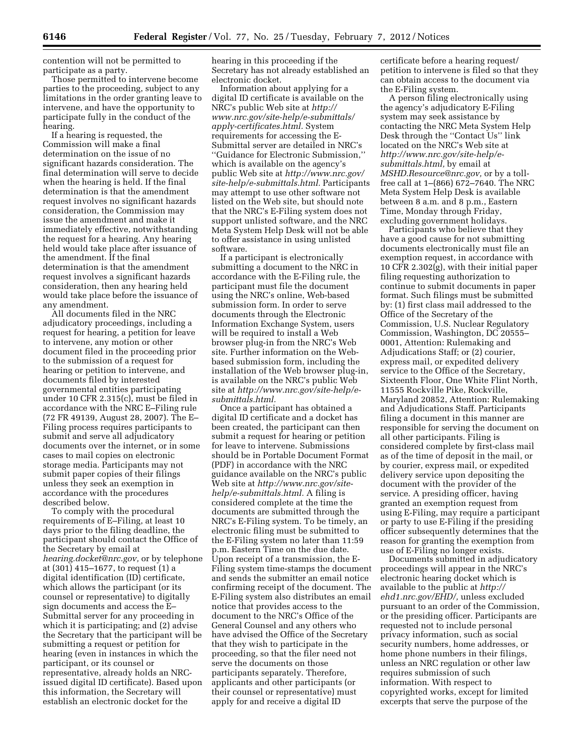contention will not be permitted to participate as a party.

Those permitted to intervene become parties to the proceeding, subject to any limitations in the order granting leave to intervene, and have the opportunity to participate fully in the conduct of the hearing.

If a hearing is requested, the Commission will make a final determination on the issue of no significant hazards consideration. The final determination will serve to decide when the hearing is held. If the final determination is that the amendment request involves no significant hazards consideration, the Commission may issue the amendment and make it immediately effective, notwithstanding the request for a hearing. Any hearing held would take place after issuance of the amendment. If the final determination is that the amendment request involves a significant hazards consideration, then any hearing held would take place before the issuance of any amendment.

All documents filed in the NRC adjudicatory proceedings, including a request for hearing, a petition for leave to intervene, any motion or other document filed in the proceeding prior to the submission of a request for hearing or petition to intervene, and documents filed by interested governmental entities participating under 10 CFR 2.315(c), must be filed in accordance with the NRC E–Filing rule (72 FR 49139, August 28, 2007). The E– Filing process requires participants to submit and serve all adjudicatory documents over the internet, or in some cases to mail copies on electronic storage media. Participants may not submit paper copies of their filings unless they seek an exemption in accordance with the procedures described below.

To comply with the procedural requirements of E–Filing, at least 10 days prior to the filing deadline, the participant should contact the Office of the Secretary by email at *[hearing.docket@nrc.gov,](mailto:hearing.docket@nrc.gov)* or by telephone at (301) 415–1677, to request (1) a digital identification (ID) certificate, which allows the participant (or its counsel or representative) to digitally sign documents and access the E– Submittal server for any proceeding in which it is participating; and (2) advise the Secretary that the participant will be submitting a request or petition for hearing (even in instances in which the participant, or its counsel or representative, already holds an NRCissued digital ID certificate). Based upon this information, the Secretary will establish an electronic docket for the

hearing in this proceeding if the Secretary has not already established an electronic docket.

Information about applying for a digital ID certificate is available on the NRC's public Web site at *[http://](http://www.nrc.gov/site-help/e-submittals/apply-certificates.html) [www.nrc.gov/site-help/e-submittals/](http://www.nrc.gov/site-help/e-submittals/apply-certificates.html)  [apply-certificates.html.](http://www.nrc.gov/site-help/e-submittals/apply-certificates.html)* System requirements for accessing the E-Submittal server are detailed in NRC's ''Guidance for Electronic Submission,'' which is available on the agency's public Web site at *[http://www.nrc.gov/](http://www.nrc.gov/site-help/e-submittals.html) [site-help/e-submittals.html.](http://www.nrc.gov/site-help/e-submittals.html)* Participants may attempt to use other software not listed on the Web site, but should note that the NRC's E-Filing system does not support unlisted software, and the NRC Meta System Help Desk will not be able to offer assistance in using unlisted software.

If a participant is electronically submitting a document to the NRC in accordance with the E-Filing rule, the participant must file the document using the NRC's online, Web-based submission form. In order to serve documents through the Electronic Information Exchange System, users will be required to install a Web browser plug-in from the NRC's Web site. Further information on the Webbased submission form, including the installation of the Web browser plug-in, is available on the NRC's public Web site at *[http://www.nrc.gov/site-help/e](http://www.nrc.gov/site-help/e-submittals.html)[submittals.html.](http://www.nrc.gov/site-help/e-submittals.html)* 

Once a participant has obtained a digital ID certificate and a docket has been created, the participant can then submit a request for hearing or petition for leave to intervene. Submissions should be in Portable Document Format (PDF) in accordance with the NRC guidance available on the NRC's public Web site at *[http://www.nrc.gov/site](http://www.nrc.gov/site-help/e-submittals.html)[help/e-submittals.html.](http://www.nrc.gov/site-help/e-submittals.html)* A filing is considered complete at the time the documents are submitted through the NRC's E-Filing system. To be timely, an electronic filing must be submitted to the E-Filing system no later than 11:59 p.m. Eastern Time on the due date. Upon receipt of a transmission, the E-Filing system time-stamps the document and sends the submitter an email notice confirming receipt of the document. The E-Filing system also distributes an email notice that provides access to the document to the NRC's Office of the General Counsel and any others who have advised the Office of the Secretary that they wish to participate in the proceeding, so that the filer need not serve the documents on those participants separately. Therefore, applicants and other participants (or their counsel or representative) must apply for and receive a digital ID

certificate before a hearing request/ petition to intervene is filed so that they can obtain access to the document via the E-Filing system.

A person filing electronically using the agency's adjudicatory E-Filing system may seek assistance by contacting the NRC Meta System Help Desk through the ''Contact Us'' link located on the NRC's Web site at *[http://www.nrc.gov/site-help/e](http://www.nrc.gov/site-help/e-submittals.html)[submittals.html,](http://www.nrc.gov/site-help/e-submittals.html)* by email at *[MSHD.Resource@nrc.gov,](mailto:MSHD.Resource@nrc.gov)* or by a tollfree call at 1–(866) 672–7640. The NRC Meta System Help Desk is available between 8 a.m. and 8 p.m., Eastern Time, Monday through Friday, excluding government holidays.

Participants who believe that they have a good cause for not submitting documents electronically must file an exemption request, in accordance with 10 CFR 2.302(g), with their initial paper filing requesting authorization to continue to submit documents in paper format. Such filings must be submitted by: (1) first class mail addressed to the Office of the Secretary of the Commission, U.S. Nuclear Regulatory Commission, Washington, DC 20555– 0001, Attention: Rulemaking and Adjudications Staff; or (2) courier, express mail, or expedited delivery service to the Office of the Secretary, Sixteenth Floor, One White Flint North, 11555 Rockville Pike, Rockville, Maryland 20852, Attention: Rulemaking and Adjudications Staff. Participants filing a document in this manner are responsible for serving the document on all other participants. Filing is considered complete by first-class mail as of the time of deposit in the mail, or by courier, express mail, or expedited delivery service upon depositing the document with the provider of the service. A presiding officer, having granted an exemption request from using E-Filing, may require a participant or party to use E-Filing if the presiding officer subsequently determines that the reason for granting the exemption from use of E-Filing no longer exists.

Documents submitted in adjudicatory proceedings will appear in the NRC's electronic hearing docket which is available to the public at *[http://](http://ehd1.nrc.gov/EHD/)  [ehd1.nrc.gov/EHD/,](http://ehd1.nrc.gov/EHD/)* unless excluded pursuant to an order of the Commission, or the presiding officer. Participants are requested not to include personal privacy information, such as social security numbers, home addresses, or home phone numbers in their filings, unless an NRC regulation or other law requires submission of such information. With respect to copyrighted works, except for limited excerpts that serve the purpose of the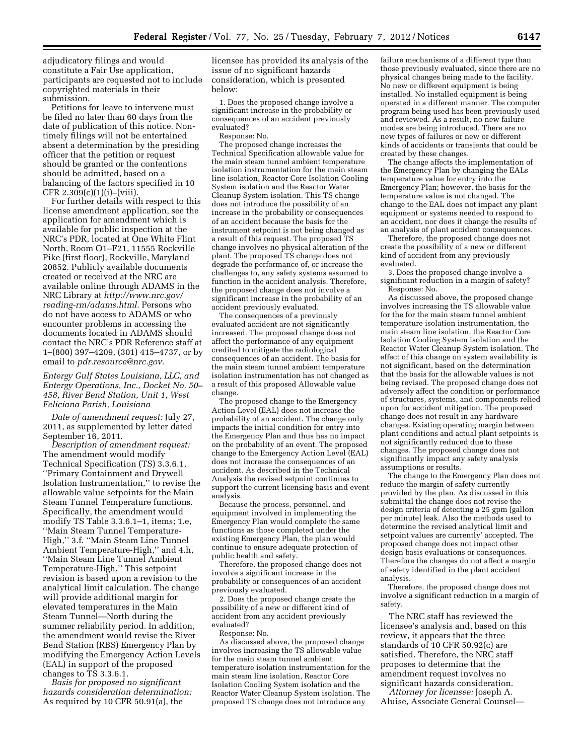adjudicatory filings and would constitute a Fair Use application, participants are requested not to include copyrighted materials in their submission.

Petitions for leave to intervene must be filed no later than 60 days from the date of publication of this notice. Nontimely filings will not be entertained absent a determination by the presiding officer that the petition or request should be granted or the contentions should be admitted, based on a balancing of the factors specified in 10  $CFR 2.309(c)(1)(i)–(viii).$ 

For further details with respect to this license amendment application, see the application for amendment which is available for public inspection at the NRC's PDR, located at One White Flint North, Room O1–F21, 11555 Rockville Pike (first floor), Rockville, Maryland 20852. Publicly available documents created or received at the NRC are available online through ADAMS in the NRC Library at *[http://www.nrc.gov/](http://www.nrc.gov/reading-rm/adams.html) [reading-rm/adams.html.](http://www.nrc.gov/reading-rm/adams.html)* Persons who do not have access to ADAMS or who encounter problems in accessing the documents located in ADAMS should contact the NRC's PDR Reference staff at 1–(800) 397–4209, (301) 415–4737, or by email to *[pdr.resource@nrc.gov.](mailto:pdr.resource@nrc.gov)* 

*Entergy Gulf States Louisiana, LLC, and Entergy Operations, Inc., Docket No. 50– 458, River Bend Station, Unit 1, West Feliciana Parish, Louisiana* 

*Date of amendment request:* July 27, 2011, as supplemented by letter dated September 16, 2011.

*Description of amendment request:*  The amendment would modify Technical Specification (TS) 3.3.6.1, ''Primary Containment and Drywell Isolation Instrumentation,'' to revise the allowable value setpoints for the Main Steam Tunnel Temperature functions. Specifically, the amendment would modify TS Table 3.3.6.1–1, items; 1.e, ''Main Steam Tunnel Temperature-High,'' 3.f. ''Main Steam Line Tunnel Ambient Temperature-High,'' and 4.h, ''Main Steam Line Tunnel Ambient Temperature-High.'' This setpoint revision is based upon a revision to the analytical limit calculation. The change will provide additional margin for elevated temperatures in the Main Steam Tunnel—North during the summer reliability period. In addition, the amendment would revise the River Bend Station (RBS) Emergency Plan by modifying the Emergency Action Levels (EAL) in support of the proposed changes to TS 3.3.6.1.

*Basis for proposed no significant hazards consideration determination:*  As required by 10 CFR 50.91(a), the

licensee has provided its analysis of the issue of no significant hazards consideration, which is presented below:

1. Does the proposed change involve a significant increase in the probability or consequences of an accident previously evaluated?

Response: No.

The proposed change increases the Technical Specification allowable value for the main steam tunnel ambient temperature isolation instrumentation for the main steam line isolation, Reactor Core Isolation Cooling System isolation and the Reactor Water Cleanup System isolation. This TS change does not introduce the possibility of an increase in the probability or consequences of an accident because the basis for the instrument setpoint is not being changed as a result of this request. The proposed TS change involves no physical alteration of the plant. The proposed TS change does not degrade the performance of, or increase the challenges to, any safety systems assumed to function in the accident analysis. Therefore, the proposed change does not involve a significant increase in the probability of an accident previously evaluated.

The consequences of a previously evaluated accident are not significantly increased. The proposed change does not affect the performance of any equipment credited to mitigate the radiological consequences of an accident. The basis for the main steam tunnel ambient temperature isolation instrumentation has not changed as a result of this proposed Allowable value change.

The proposed change to the Emergency Action Level (EAL) does not increase the probability of an accident. The change only impacts the initial condition for entry into the Emergency Plan and thus has no impact on the probability of an event. The proposed change to the Emergency Action Level (EAL) does not increase the consequences of an accident. As described in the Technical Analysis the revised setpoint continues to support the current licensing basis and event analysis.

Because the process, personnel, and equipment involved in implementing the Emergency Plan would complete the same functions as those completed under the existing Emergency Plan, the plan would continue to ensure adequate protection of public health and safety.

Therefore, the proposed change does not involve a significant increase in the probability or consequences of an accident previously evaluated.

2. Does the proposed change create the possibility of a new or different kind of accident from any accident previously evaluated?

Response: No.

As discussed above, the proposed change involves increasing the TS allowable value for the main steam tunnel ambient temperature isolation instrumentation for the main steam line isolation, Reactor Core Isolation Cooling System isolation and the Reactor Water Cleanup System isolation. The proposed TS change does not introduce any

failure mechanisms of a different type than those previously evaluated, since there are no physical changes being made to the facility. No new or different equipment is being installed. No installed equipment is being operated in a different manner. The computer program being used has been previously used and reviewed. As a result, no new failure modes are being introduced. There are no new types of failures or new or different kinds of accidents or transients that could be created by these changes.

The change affects the implementation of the Emergency Plan by changing the EALs temperature value for entry into the Emergency Plan; however, the basis for the temperature value is not changed. The change to the EAL does not impact any plant equipment or systems needed to respond to an accident, nor does it change the results of an analysis of plant accident consequences.

Therefore, the proposed change does not create the possibility of a new or different kind of accident from any previously evaluated.

3. Does the proposed change involve a significant reduction in a margin of safety? Response: No.

As discussed above, the proposed change involves increasing the TS allowable value for the for the main steam tunnel ambient temperature isolation instrumentation, the main steam line isolation, the Reactor Core Isolation Cooling System isolation and the Reactor Water Cleanup System isolation. The effect of this change on system availability is not significant, based on the determination that the basis for the allowable values is not being revised. The proposed change does not adversely affect the condition or performance of structures, systems, and components relied upon for accident mitigation. The proposed change does not result in any hardware changes. Existing operating margin between plant conditions and actual plant setpoints is not significantly reduced due to these changes. The proposed change does not significantly impact any safety analysis assumptions or results.

The change to the Emergency Plan does not reduce the margin of safety currently provided by the plan. As discussed in this submittal the change does not revise the design criteria of detecting a 25 gpm [gallon per minute] leak. Also the methods used to determine the revised analytical limit and setpoint values are currently' accepted. The proposed change does not impact other design basis evaluations or consequences. Therefore the changes do not affect a margin of safety identified in the plant accident analysis.

Therefore, the proposed change does not involve a significant reduction in a margin of safety.

The NRC staff has reviewed the licensee's analysis and, based on this review, it appears that the three standards of 10 CFR 50.92(c) are satisfied. Therefore, the NRC staff proposes to determine that the amendment request involves no significant hazards consideration.

*Attorney for licensee:* Joseph A. Aluise, Associate General Counsel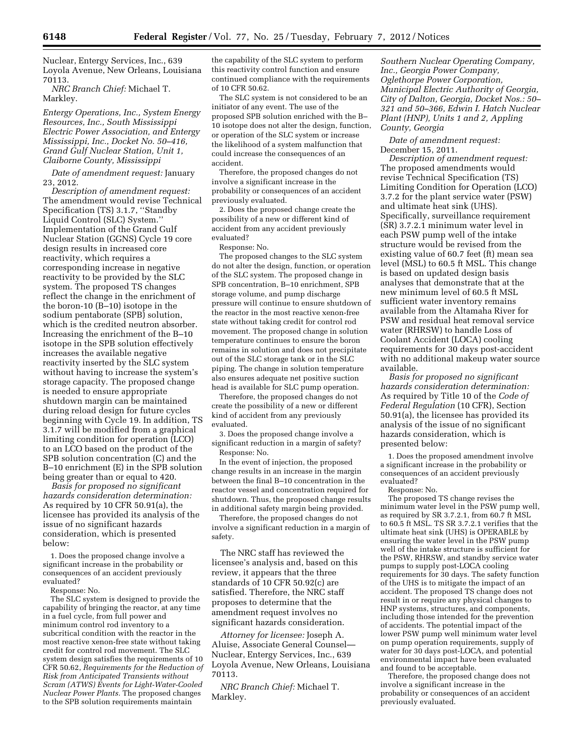Nuclear, Entergy Services, Inc., 639 Loyola Avenue, New Orleans, Louisiana 70113.

*NRC Branch Chief:* Michael T. Markley.

*Entergy Operations, Inc., System Energy Resources, Inc., South Mississippi Electric Power Association, and Entergy Mississippi, Inc., Docket No. 50–416, Grand Gulf Nuclear Station, Unit 1, Claiborne County, Mississippi* 

*Date of amendment request:* January 23, 2012.

*Description of amendment request:*  The amendment would revise Technical Specification (TS) 3.1.7, ''Standby Liquid Control (SLC) System.'' Implementation of the Grand Gulf Nuclear Station (GGNS) Cycle 19 core design results in increased core reactivity, which requires a corresponding increase in negative reactivity to be provided by the SLC system. The proposed TS changes reflect the change in the enrichment of the boron-10 (B–10) isotope in the sodium pentaborate (SPB) solution, which is the credited neutron absorber. Increasing the enrichment of the B–10 isotope in the SPB solution effectively increases the available negative reactivity inserted by the SLC system without having to increase the system's storage capacity. The proposed change is needed to ensure appropriate shutdown margin can be maintained during reload design for future cycles beginning with Cycle 19. In addition, TS 3.1.7 will be modified from a graphical limiting condition for operation (LCO) to an LCO based on the product of the SPB solution concentration (C) and the B–10 enrichment (E) in the SPB solution being greater than or equal to 420.

*Basis for proposed no significant hazards consideration determination:*  As required by 10 CFR 50.91(a), the licensee has provided its analysis of the issue of no significant hazards consideration, which is presented below:

1. Does the proposed change involve a significant increase in the probability or consequences of an accident previously evaluated?

Response: No.

The SLC system is designed to provide the capability of bringing the reactor, at any time in a fuel cycle, from full power and minimum control rod inventory to a subcritical condition with the reactor in the most reactive xenon-free state without taking credit for control rod movement. The SLC system design satisfies the requirements of 10 CFR 50.62, *Requirements for the Reduction of Risk from Anticipated Transients without Scram (ATWS) Events for Light-Water-Cooled Nuclear Power Plants.* The proposed changes to the SPB solution requirements maintain

the capability of the SLC system to perform this reactivity control function and ensure continued compliance with the requirements of 10 CFR 50.62.

The SLC system is not considered to be an initiator of any event. The use of the proposed SPB solution enriched with the B– 10 isotope does not alter the design, function, or operation of the SLC system or increase the likelihood of a system malfunction that could increase the consequences of an accident.

Therefore, the proposed changes do not involve a significant increase in the probability or consequences of an accident previously evaluated.

2. Does the proposed change create the possibility of a new or different kind of accident from any accident previously evaluated?

Response: No.

The proposed changes to the SLC system do not alter the design, function, or operation of the SLC system. The proposed change in SPB concentration, B–10 enrichment, SPB storage volume, and pump discharge pressure will continue to ensure shutdown of the reactor in the most reactive xenon-free state without taking credit for control rod movement. The proposed change in solution temperature continues to ensure the boron remains in solution and does not precipitate out of the SLC storage tank or in the SLC piping. The change in solution temperature also ensures adequate net positive suction head is available for SLC pump operation.

Therefore, the proposed changes do not create the possibility of a new or different kind of accident from any previously evaluated.

3. Does the proposed change involve a significant reduction in a margin of safety? Response: No.

In the event of injection, the proposed change results in an increase in the margin between the final B–10 concentration in the reactor vessel and concentration required for shutdown. Thus, the proposed change results in additional safety margin being provided.

Therefore, the proposed changes do not involve a significant reduction in a margin of safety.

The NRC staff has reviewed the licensee's analysis and, based on this review, it appears that the three standards of 10 CFR 50.92(c) are satisfied. Therefore, the NRC staff proposes to determine that the amendment request involves no significant hazards consideration.

*Attorney for licensee:* Joseph A. Aluise, Associate General Counsel— Nuclear, Entergy Services, Inc., 639 Loyola Avenue, New Orleans, Louisiana 70113.

*NRC Branch Chief:* Michael T. Markley.

*Southern Nuclear Operating Company, Inc., Georgia Power Company, Oglethorpe Power Corporation, Municipal Electric Authority of Georgia, City of Dalton, Georgia, Docket Nos.: 50– 321 and 50–366, Edwin I. Hatch Nuclear Plant (HNP), Units 1 and 2, Appling County, Georgia* 

*Date of amendment request:*  December 15, 2011.

*Description of amendment request:*  The proposed amendments would revise Technical Specification (TS) Limiting Condition for Operation (LCO) 3.7.2 for the plant service water (PSW) and ultimate heat sink (UHS). Specifically, surveillance requirement (SR) 3.7.2.1 minimum water level in each PSW pump well of the intake structure would be revised from the existing value of 60.7 feet (ft) mean sea level (MSL) to 60.5 ft MSL. This change is based on updated design basis analyses that demonstrate that at the new minimum level of 60.5 ft MSL sufficient water inventory remains available from the Altamaha River for PSW and residual heat removal service water (RHRSW) to handle Loss of Coolant Accident (LOCA) cooling requirements for 30 days post-accident with no additional makeup water source available.

*Basis for proposed no significant hazards consideration determination:*  As required by Title 10 of the *Code of Federal Regulation* (10 CFR), Section 50.91(a), the licensee has provided its analysis of the issue of no significant hazards consideration, which is presented below:

1. Does the proposed amendment involve a significant increase in the probability or consequences of an accident previously evaluated?

Response: No.

The proposed TS change revises the minimum water level in the PSW pump well, as required by SR 3.7.2.1, from 60.7 ft MSL to 60.5 ft MSL. TS SR 3.7.2.1 verifies that the ultimate heat sink (UHS) is OPERABLE by ensuring the water level in the PSW pump well of the intake structure is sufficient for the PSW, RHRSW, and standby service water pumps to supply post-LOCA cooling requirements for 30 days. The safety function of the UHS is to mitigate the impact of an accident. The proposed TS change does not result in or require any physical changes to HNP systems, structures, and components, including those intended for the prevention of accidents. The potential impact of the lower PSW pump well minimum water level on pump operation requirements, supply of water for 30 days post-LOCA, and potential environmental impact have been evaluated and found to be acceptable.

Therefore, the proposed change does not involve a significant increase in the probability or consequences of an accident previously evaluated.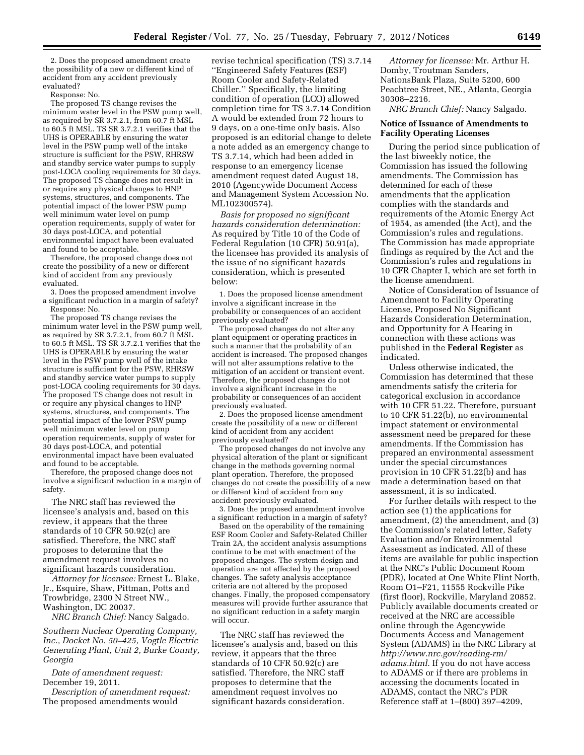2. Does the proposed amendment create the possibility of a new or different kind of accident from any accident previously evaluated?

Response: No.

The proposed TS change revises the minimum water level in the PSW pump well, as required by SR 3.7.2.1, from 60.7 ft MSL to 60.5 ft MSL. TS SR 3.7.2.1 verifies that the UHS is OPERABLE by ensuring the water level in the PSW pump well of the intake structure is sufficient for the PSW, RHRSW and standby service water pumps to supply post-LOCA cooling requirements for 30 days. The proposed TS change does not result in or require any physical changes to HNP systems, structures, and components. The potential impact of the lower PSW pump well minimum water level on pump operation requirements, supply of water for 30 days post-LOCA, and potential environmental impact have been evaluated and found to be acceptable.

Therefore, the proposed change does not create the possibility of a new or different kind of accident from any previously evaluated.

3. Does the proposed amendment involve a significant reduction in a margin of safety? Response: No.

The proposed TS change revises the minimum water level in the PSW pump well, as required by SR 3.7.2.1, from 60.7 ft MSL to 60.5 ft MSL. TS SR 3.7.2.1 verifies that the UHS is OPERABLE by ensuring the water level in the PSW pump well of the intake structure is sufficient for the PSW, RHRSW and standby service water pumps to supply post-LOCA cooling requirements for 30 days. The proposed TS change does not result in or require any physical changes to HNP systems, structures, and components. The potential impact of the lower PSW pump well minimum water level on pump operation requirements, supply of water for 30 days post-LOCA, and potential environmental impact have been evaluated and found to be acceptable.

Therefore, the proposed change does not involve a significant reduction in a margin of safety.

The NRC staff has reviewed the licensee's analysis and, based on this review, it appears that the three standards of 10 CFR 50.92(c) are satisfied. Therefore, the NRC staff proposes to determine that the amendment request involves no significant hazards consideration.

*Attorney for licensee:* Ernest L. Blake, Jr., Esquire, Shaw, Pittman, Potts and Trowbridge, 2300 N Street NW., Washington, DC 20037.

*NRC Branch Chief:* Nancy Salgado.

*Southern Nuclear Operating Company, Inc., Docket No. 50–425, Vogtle Electric Generating Plant, Unit 2, Burke County, Georgia* 

*Date of amendment request:*  December 19, 2011.

*Description of amendment request:*  The proposed amendments would

revise technical specification (TS) 3.7.14 ''Engineered Safety Features (ESF) Room Cooler and Safety-Related Chiller.'' Specifically, the limiting condition of operation (LCO) allowed completion time for TS 3.7.14 Condition A would be extended from 72 hours to 9 days, on a one-time only basis. Also proposed is an editorial change to delete a note added as an emergency change to TS 3.7.14, which had been added in response to an emergency license amendment request dated August 18, 2010 (Agencywide Document Access and Management System Accession No. ML102300574).

*Basis for proposed no significant hazards consideration determination:*  As required by Title 10 of the Code of Federal Regulation (10 CFR) 50.91(a), the licensee has provided its analysis of the issue of no significant hazards consideration, which is presented below:

1. Does the proposed license amendment involve a significant increase in the probability or consequences of an accident previously evaluated?

The proposed changes do not alter any plant equipment or operating practices in such a manner that the probability of an accident is increased. The proposed changes will not alter assumptions relative to the mitigation of an accident or transient event. Therefore, the proposed changes do not involve a significant increase in the probability or consequences of an accident previously evaluated.

2. Does the proposed license amendment create the possibility of a new or different kind of accident from any accident previously evaluated?

The proposed changes do not involve any physical alteration of the plant or significant change in the methods governing normal plant operation. Therefore, the proposed changes do not create the possibility of a new or different kind of accident from any accident previously evaluated.

3. Does the proposed amendment involve a significant reduction in a margin of safety?

Based on the operability of the remaining ESF Room Cooler and Safety-Related Chiller Train 2A, the accident analysis assumptions continue to be met with enactment of the proposed changes. The system design and operation are not affected by the proposed changes. The safety analysis acceptance criteria are not altered by the proposed changes. Finally, the proposed compensatory measures will provide further assurance that no significant reduction in a safety margin will occur.

The NRC staff has reviewed the licensee's analysis and, based on this review, it appears that the three standards of 10 CFR 50.92(c) are satisfied. Therefore, the NRC staff proposes to determine that the amendment request involves no significant hazards consideration.

*Attorney for licensee:* Mr. Arthur H. Domby, Troutman Sanders, NationsBank Plaza, Suite 5200, 600 Peachtree Street, NE., Atlanta, Georgia 30308–2216.

*NRC Branch Chief:* Nancy Salgado.

## **Notice of Issuance of Amendments to Facility Operating Licenses**

During the period since publication of the last biweekly notice, the Commission has issued the following amendments. The Commission has determined for each of these amendments that the application complies with the standards and requirements of the Atomic Energy Act of 1954, as amended (the Act), and the Commission's rules and regulations. The Commission has made appropriate findings as required by the Act and the Commission's rules and regulations in 10 CFR Chapter I, which are set forth in the license amendment.

Notice of Consideration of Issuance of Amendment to Facility Operating License, Proposed No Significant Hazards Consideration Determination, and Opportunity for A Hearing in connection with these actions was published in the **Federal Register** as indicated.

Unless otherwise indicated, the Commission has determined that these amendments satisfy the criteria for categorical exclusion in accordance with 10 CFR 51.22. Therefore, pursuant to 10 CFR 51.22(b), no environmental impact statement or environmental assessment need be prepared for these amendments. If the Commission has prepared an environmental assessment under the special circumstances provision in 10 CFR 51.22(b) and has made a determination based on that assessment, it is so indicated.

For further details with respect to the action see (1) the applications for amendment, (2) the amendment, and (3) the Commission's related letter, Safety Evaluation and/or Environmental Assessment as indicated. All of these items are available for public inspection at the NRC's Public Document Room (PDR), located at One White Flint North, Room O1–F21, 11555 Rockville Pike (first floor), Rockville, Maryland 20852. Publicly available documents created or received at the NRC are accessible online through the Agencywide Documents Access and Management System (ADAMS) in the NRC Library at *[http://www.nrc.gov/reading-rm/](http://www.nrc.gov/reading-rm/adams.html)  [adams.html.](http://www.nrc.gov/reading-rm/adams.html)* If you do not have access to ADAMS or if there are problems in accessing the documents located in ADAMS, contact the NRC's PDR Reference staff at 1–(800) 397–4209,